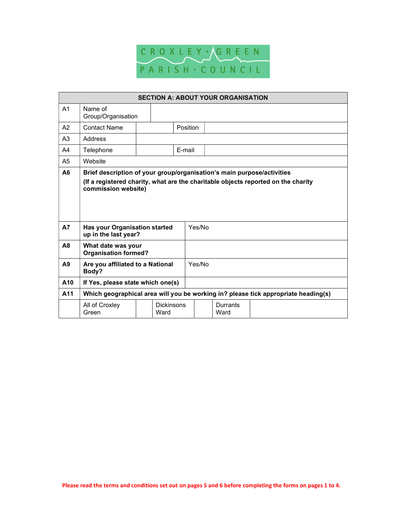

| <b>SECTION A: ABOUT YOUR ORGANISATION</b> |                                                                                    |  |                           |          |        |                  |  |
|-------------------------------------------|------------------------------------------------------------------------------------|--|---------------------------|----------|--------|------------------|--|
| A <sub>1</sub>                            | Name of<br>Group/Organisation                                                      |  |                           |          |        |                  |  |
| A <sub>2</sub>                            | <b>Contact Name</b>                                                                |  |                           | Position |        |                  |  |
| A <sub>3</sub>                            | Address                                                                            |  |                           |          |        |                  |  |
| A4                                        | Telephone                                                                          |  |                           | E-mail   |        |                  |  |
| A <sub>5</sub>                            | Website                                                                            |  |                           |          |        |                  |  |
| A <sub>6</sub>                            | Brief description of your group/organisation's main purpose/activities             |  |                           |          |        |                  |  |
| <b>A7</b>                                 | commission website)<br>Has your Organisation started<br>up in the last year?       |  |                           |          | Yes/No |                  |  |
| A <sub>8</sub>                            | What date was your<br><b>Organisation formed?</b>                                  |  |                           |          |        |                  |  |
| A9                                        | Are you affiliated to a National<br>Body?                                          |  | Yes/No                    |          |        |                  |  |
| A <sub>10</sub>                           | If Yes, please state which one(s)                                                  |  |                           |          |        |                  |  |
| A <sub>11</sub>                           | Which geographical area will you be working in? please tick appropriate heading(s) |  |                           |          |        |                  |  |
|                                           | All of Croxley<br>Green                                                            |  | <b>Dickinsons</b><br>Ward |          |        | Durrants<br>Ward |  |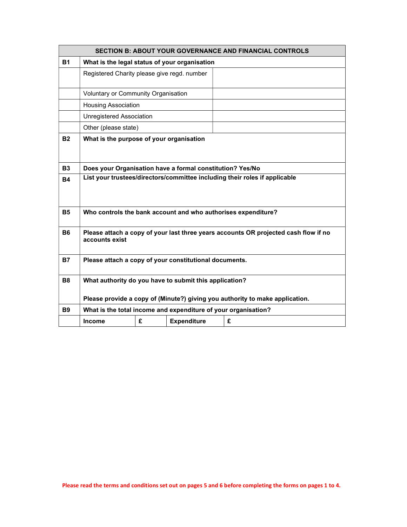| <b>SECTION B: ABOUT YOUR GOVERNANCE AND FINANCIAL CONTROLS</b> |                                                                                                       |   |                    |   |  |  |
|----------------------------------------------------------------|-------------------------------------------------------------------------------------------------------|---|--------------------|---|--|--|
| <b>B1</b>                                                      | What is the legal status of your organisation                                                         |   |                    |   |  |  |
|                                                                | Registered Charity please give regd. number                                                           |   |                    |   |  |  |
|                                                                | Voluntary or Community Organisation                                                                   |   |                    |   |  |  |
|                                                                | <b>Housing Association</b>                                                                            |   |                    |   |  |  |
|                                                                | <b>Unregistered Association</b>                                                                       |   |                    |   |  |  |
|                                                                | Other (please state)                                                                                  |   |                    |   |  |  |
| <b>B2</b>                                                      | What is the purpose of your organisation                                                              |   |                    |   |  |  |
| <b>B3</b>                                                      | Does your Organisation have a formal constitution? Yes/No                                             |   |                    |   |  |  |
| <b>B4</b>                                                      | List your trustees/directors/committee including their roles if applicable                            |   |                    |   |  |  |
| <b>B5</b>                                                      | Who controls the bank account and who authorises expenditure?                                         |   |                    |   |  |  |
| <b>B6</b>                                                      | Please attach a copy of your last three years accounts OR projected cash flow if no<br>accounts exist |   |                    |   |  |  |
| <b>B7</b>                                                      | Please attach a copy of your constitutional documents.                                                |   |                    |   |  |  |
| <b>B8</b>                                                      | What authority do you have to submit this application?                                                |   |                    |   |  |  |
|                                                                | Please provide a copy of (Minute?) giving you authority to make application.                          |   |                    |   |  |  |
| <b>B9</b>                                                      | What is the total income and expenditure of your organisation?                                        |   |                    |   |  |  |
|                                                                | <b>Income</b>                                                                                         | £ | <b>Expenditure</b> | £ |  |  |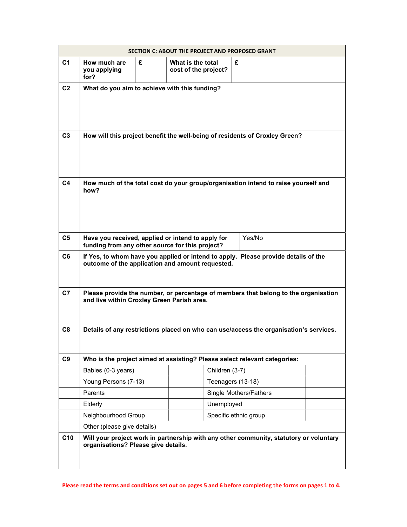|                 | SECTION C: ABOUT THE PROJECT AND PROPOSED GRANT                                                                                        |   |                                           |                                                                                        |  |  |
|-----------------|----------------------------------------------------------------------------------------------------------------------------------------|---|-------------------------------------------|----------------------------------------------------------------------------------------|--|--|
| C <sub>1</sub>  | How much are<br>you applying<br>for?                                                                                                   | £ | What is the total<br>cost of the project? | £                                                                                      |  |  |
| C <sub>2</sub>  | What do you aim to achieve with this funding?                                                                                          |   |                                           |                                                                                        |  |  |
| C <sub>3</sub>  | How will this project benefit the well-being of residents of Croxley Green?                                                            |   |                                           |                                                                                        |  |  |
| C <sub>4</sub>  | How much of the total cost do your group/organisation intend to raise yourself and<br>how?                                             |   |                                           |                                                                                        |  |  |
| C <sub>5</sub>  | Yes/No<br>Have you received, applied or intend to apply for<br>funding from any other source for this project?                         |   |                                           |                                                                                        |  |  |
| C <sub>6</sub>  | If Yes, to whom have you applied or intend to apply. Please provide details of the<br>outcome of the application and amount requested. |   |                                           |                                                                                        |  |  |
| C <sub>7</sub>  | Please provide the number, or percentage of members that belong to the organisation<br>and live within Croxley Green Parish area.      |   |                                           |                                                                                        |  |  |
| C8              | Details of any restrictions placed on who can use/access the organisation's services.                                                  |   |                                           |                                                                                        |  |  |
| C <sub>9</sub>  |                                                                                                                                        |   |                                           | Who is the project aimed at assisting? Please select relevant categories:              |  |  |
|                 | Babies (0-3 years)                                                                                                                     |   | Children (3-7)                            |                                                                                        |  |  |
|                 | Young Persons (7-13)                                                                                                                   |   |                                           | Teenagers (13-18)                                                                      |  |  |
|                 | <b>Parents</b>                                                                                                                         |   |                                           | Single Mothers/Fathers                                                                 |  |  |
|                 | Elderly                                                                                                                                |   | Unemployed                                |                                                                                        |  |  |
|                 | Neighbourhood Group                                                                                                                    |   |                                           | Specific ethnic group                                                                  |  |  |
|                 | Other (please give details)                                                                                                            |   |                                           |                                                                                        |  |  |
| C <sub>10</sub> | organisations? Please give details.                                                                                                    |   |                                           | Will your project work in partnership with any other community, statutory or voluntary |  |  |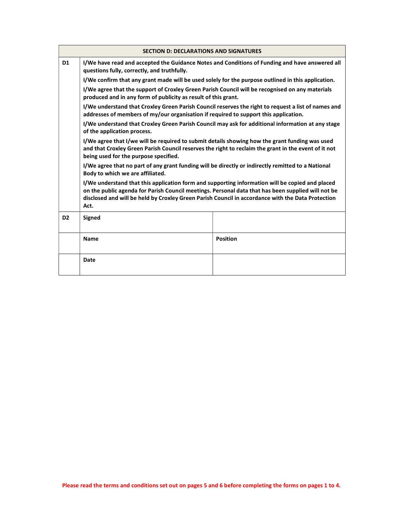| <b>SECTION D: DECLARATIONS AND SIGNATURES</b> |                                                                                                                                                                                                                                                                                                                                                                                                                                                              |                 |  |  |  |  |
|-----------------------------------------------|--------------------------------------------------------------------------------------------------------------------------------------------------------------------------------------------------------------------------------------------------------------------------------------------------------------------------------------------------------------------------------------------------------------------------------------------------------------|-----------------|--|--|--|--|
| D <sub>1</sub>                                | I/We have read and accepted the Guidance Notes and Conditions of Funding and have answered all<br>questions fully, correctly, and truthfully.                                                                                                                                                                                                                                                                                                                |                 |  |  |  |  |
|                                               | I/We confirm that any grant made will be used solely for the purpose outlined in this application.                                                                                                                                                                                                                                                                                                                                                           |                 |  |  |  |  |
|                                               | I/We agree that the support of Croxley Green Parish Council will be recognised on any materials<br>produced and in any form of publicity as result of this grant.                                                                                                                                                                                                                                                                                            |                 |  |  |  |  |
|                                               | I/We understand that Croxley Green Parish Council reserves the right to request a list of names and<br>addresses of members of my/our organisation if required to support this application.                                                                                                                                                                                                                                                                  |                 |  |  |  |  |
|                                               | I/We understand that Croxley Green Parish Council may ask for additional information at any stage<br>of the application process.                                                                                                                                                                                                                                                                                                                             |                 |  |  |  |  |
|                                               | I/We agree that I/we will be required to submit details showing how the grant funding was used<br>and that Croxley Green Parish Council reserves the right to reclaim the grant in the event of it not<br>being used for the purpose specified.                                                                                                                                                                                                              |                 |  |  |  |  |
|                                               | I/We agree that no part of any grant funding will be directly or indirectly remitted to a National<br>Body to which we are affiliated.<br>I/We understand that this application form and supporting information will be copied and placed<br>on the public agenda for Parish Council meetings. Personal data that has been supplied will not be<br>disclosed and will be held by Croxley Green Parish Council in accordance with the Data Protection<br>Act. |                 |  |  |  |  |
|                                               |                                                                                                                                                                                                                                                                                                                                                                                                                                                              |                 |  |  |  |  |
| D <sub>2</sub>                                | <b>Signed</b>                                                                                                                                                                                                                                                                                                                                                                                                                                                |                 |  |  |  |  |
|                                               | Name                                                                                                                                                                                                                                                                                                                                                                                                                                                         | <b>Position</b> |  |  |  |  |
|                                               | Date                                                                                                                                                                                                                                                                                                                                                                                                                                                         |                 |  |  |  |  |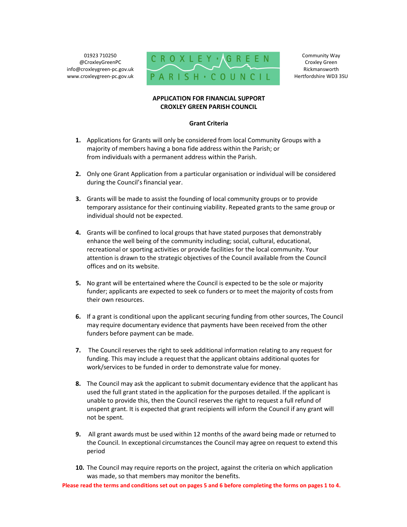01923 710250 @CroxleyGreenPC info@croxleygreen-pc.gov.uk www.croxleygreen-pc.gov.uk



Community Way Croxley Green Rickmansworth Hertfordshire WD3 3SU

## APPLICATION FOR FINANCIAL SUPPORT CROXLEY GREEN PARISH COUNCIL

## Grant Criteria

- 1. Applications for Grants will only be considered from local Community Groups with a majority of members having a bona fide address within the Parish; or from individuals with a permanent address within the Parish.
- 2. Only one Grant Application from a particular organisation or individual will be considered during the Council's financial year.
- 3. Grants will be made to assist the founding of local community groups or to provide temporary assistance for their continuing viability. Repeated grants to the same group or individual should not be expected.
- 4. Grants will be confined to local groups that have stated purposes that demonstrably enhance the well being of the community including; social, cultural, educational, recreational or sporting activities or provide facilities for the local community. Your attention is drawn to the strategic objectives of the Council available from the Council offices and on its website.
- 5. No grant will be entertained where the Council is expected to be the sole or majority funder; applicants are expected to seek co funders or to meet the majority of costs from their own resources.
- 6. If a grant is conditional upon the applicant securing funding from other sources, The Council may require documentary evidence that payments have been received from the other funders before payment can be made.
- 7. The Council reserves the right to seek additional information relating to any request for funding. This may include a request that the applicant obtains additional quotes for work/services to be funded in order to demonstrate value for money.
- 8. The Council may ask the applicant to submit documentary evidence that the applicant has used the full grant stated in the application for the purposes detailed. If the applicant is unable to provide this, then the Council reserves the right to request a full refund of unspent grant. It is expected that grant recipients will inform the Council if any grant will not be spent.
- 9. All grant awards must be used within 12 months of the award being made or returned to the Council. In exceptional circumstances the Council may agree on request to extend this period
- 10. The Council may require reports on the project, against the criteria on which application was made, so that members may monitor the benefits.

Please read the terms and conditions set out on pages 5 and 6 before completing the forms on pages 1 to 4.